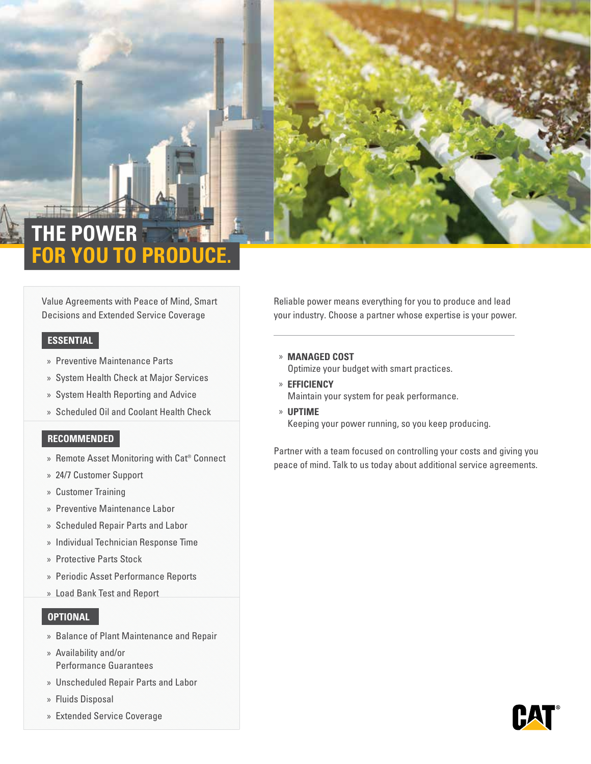

# **THE POWER OU TO PROD**

Value Agreements with Peace of Mind, Smart Decisions and Extended Service Coverage

## **ESSENTIAL**

- » Preventive Maintenance Parts
- » System Health Check at Major Services
- » System Health Reporting and Advice
- » Scheduled Oil and Coolant Health Check

## **RECOMMENDED**

- » Remote Asset Monitoring with Cat® Connect
- » 24/7 Customer Support
- » Customer Training
- » Preventive Maintenance Labor
- » Scheduled Repair Parts and Labor
- » Individual Technician Response Time
- » Protective Parts Stock
- » Periodic Asset Performance Reports
- » Load Bank Test and Report

## **OPTIONAL**

- » Balance of Plant Maintenance and Repair
- » Availability and/or Performance Guarantees
- » Unscheduled Repair Parts and Labor
- » Fluids Disposal
- » Extended Service Coverage

Reliable power means everything for you to produce and lead your industry. Choose a partner whose expertise is your power.

- » **MANAGED COST** Optimize your budget with smart practices.
- » **EFFICIENCY** Maintain your system for peak performance.
- » **UPTIME**

Keeping your power running, so you keep producing.

Partner with a team focused on controlling your costs and giving you peace of mind. Talk to us today about additional service agreements.